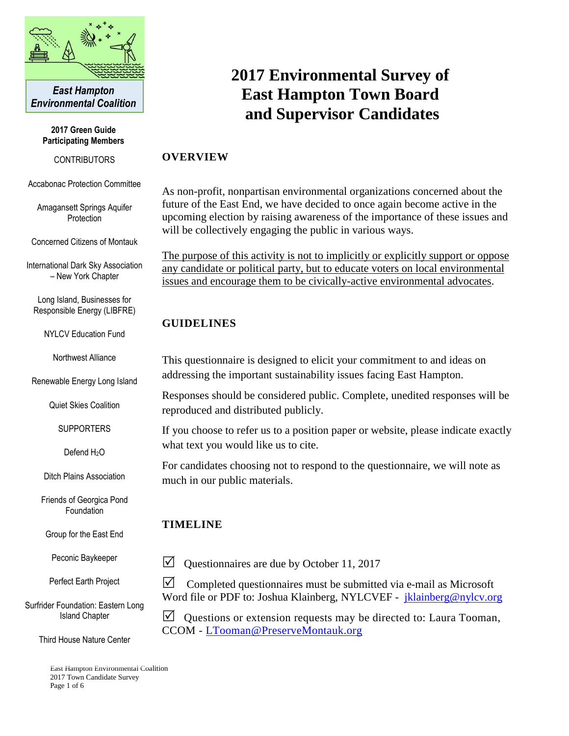

*East Hampton Environmental Coalition*

> **2017 Green Guide Participating Members**

> > **CONTRIBUTORS**

Accabonac Protection Committee

Amagansett Springs Aquifer Protection

Concerned Citizens of Montauk

International Dark Sky Association – New York Chapter

Long Island, Businesses for Responsible Energy (LIBFRE)

NYLCV Education Fund

Northwest Alliance

Renewable Energy Long Island

Quiet Skies Coalition

**SUPPORTERS** 

Defend H<sub>2</sub>O

Ditch Plains Association

Friends of Georgica Pond Foundation

Group for the East End

Peconic Baykeeper

Perfect Earth Project

Surfrider Foundation: Eastern Long Island Chapter

Third House Nature Center

East Hampton Environmental Coalition 2017 Town Candidate Survey Page 1 of 6

# **2017 Environmental Survey of East Hampton Town Board and Supervisor Candidates**

#### **OVERVIEW**

As non-profit, nonpartisan environmental organizations concerned about the future of the East End, we have decided to once again become active in the upcoming election by raising awareness of the importance of these issues and will be collectively engaging the public in various ways.

The purpose of this activity is not to implicitly or explicitly support or oppose any candidate or political party, but to educate voters on local environmental issues and encourage them to be civically-active environmental advocates.

## **GUIDELINES**

This questionnaire is designed to elicit your commitment to and ideas on addressing the important sustainability issues facing East Hampton.

Responses should be considered public. Complete, unedited responses will be reproduced and distributed publicly.

If you choose to refer us to a position paper or website, please indicate exactly what text you would like us to cite.

For candidates choosing not to respond to the questionnaire, we will note as much in our public materials.

## **TIMELINE**

 $\triangledown$  Questionnaires are due by October 11, 2017

 $\triangledown$  Completed questionnaires must be submitted via e-mail as Microsoft Word file or PDF to: Joshua Klainberg, NYLCVEF - [jklainberg@nylcv.org](mailto:jklainberg@nylcv.org)

 $\triangledown$  Questions or extension requests may be directed to: Laura Tooman, CCOM - [LTooman@PreserveMontauk.org](mailto:LTooman@PreserveMontauk.org)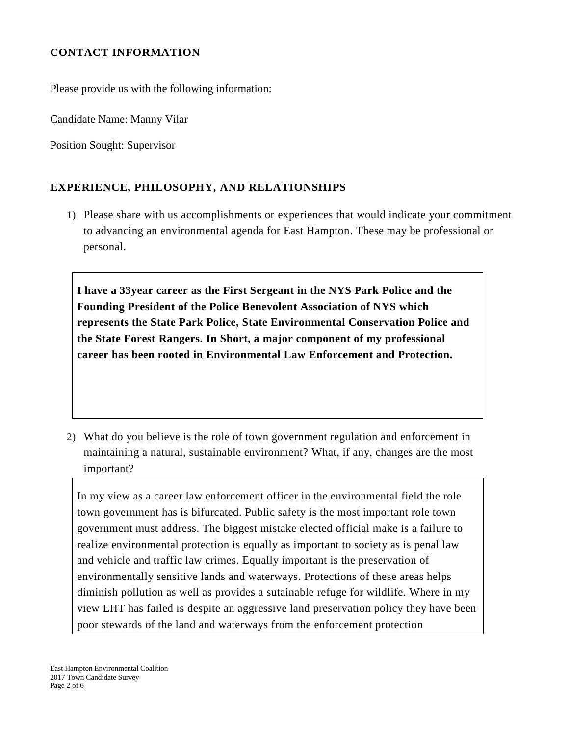# **CONTACT INFORMATION**

Please provide us with the following information:

Candidate Name: Manny Vilar

Position Sought: Supervisor

## **EXPERIENCE, PHILOSOPHY, AND RELATIONSHIPS**

1) Please share with us accomplishments or experiences that would indicate your commitment to advancing an environmental agenda for East Hampton. These may be professional or personal.

**I have a 33year career as the First Sergeant in the NYS Park Police and the Founding President of the Police Benevolent Association of NYS which represents the State Park Police, State Environmental Conservation Police and the State Forest Rangers. In Short, a major component of my professional career has been rooted in Environmental Law Enforcement and Protection.**

2) What do you believe is the role of town government regulation and enforcement in maintaining a natural, sustainable environment? What, if any, changes are the most important?

In my view as a career law enforcement officer in the environmental field the role town government has is bifurcated. Public safety is the most important role town government must address. The biggest mistake elected official make is a failure to realize environmental protection is equally as important to society as is penal law and vehicle and traffic law crimes. Equally important is the preservation of environmentally sensitive lands and waterways. Protections of these areas helps diminish pollution as well as provides a sutainable refuge for wildlife. Where in my view EHT has failed is despite an aggressive land preservation policy they have been poor stewards of the land and waterways from the enforcement protection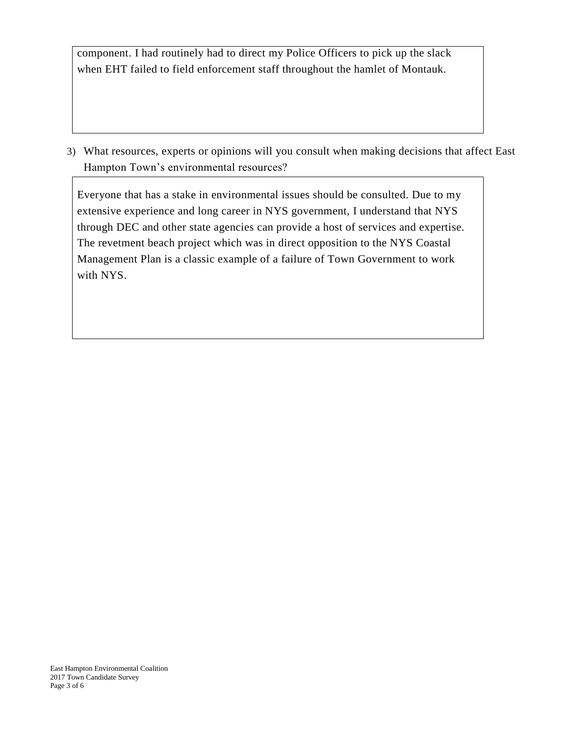component. I had routinely had to direct my Police Officers to pick up the slack when EHT failed to field enforcement staff throughout the hamlet of Montauk.

3) What resources, experts or opinions will you consult when making decisions that affect East Hampton Town's environmental resources?

Everyone that has a stake in environmental issues should be consulted. Due to my extensive experience and long career in NYS government, I understand that NYS through DEC and other state agencies can provide a host of services and expertise. The revetment beach project which was in direct opposition to the NYS Coastal Management Plan is a classic example of a failure of Town Government to work with NYS.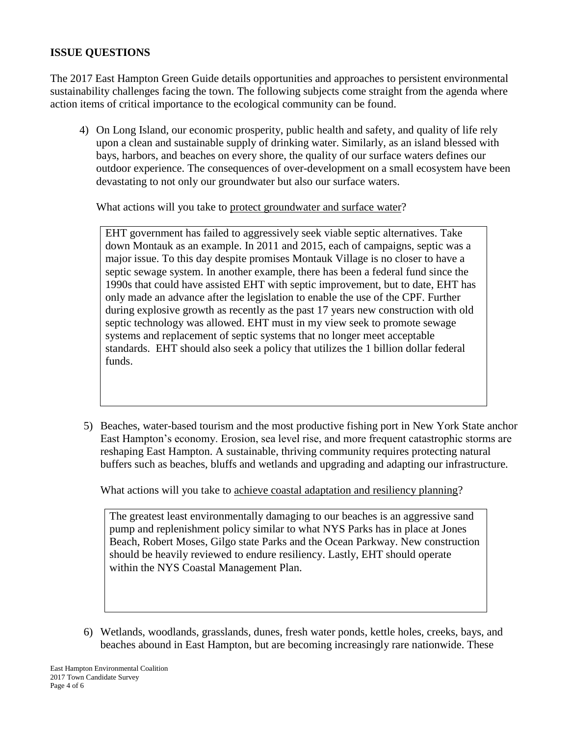#### **ISSUE QUESTIONS**

The 2017 East Hampton Green Guide details opportunities and approaches to persistent environmental sustainability challenges facing the town. The following subjects come straight from the agenda where action items of critical importance to the ecological community can be found.

4) On Long Island, our economic prosperity, public health and safety, and quality of life rely upon a clean and sustainable supply of drinking water. Similarly, as an island blessed with bays, harbors, and beaches on every shore, the quality of our surface waters defines our outdoor experience. The consequences of over-development on a small ecosystem have been devastating to not only our groundwater but also our surface waters.

What actions will you take to protect groundwater and surface water?

EHT government has failed to aggressively seek viable septic alternatives. Take down Montauk as an example. In 2011 and 2015, each of campaigns, septic was a major issue. To this day despite promises Montauk Village is no closer to have a septic sewage system. In another example, there has been a federal fund since the 1990s that could have assisted EHT with septic improvement, but to date, EHT has only made an advance after the legislation to enable the use of the CPF. Further during explosive growth as recently as the past 17 years new construction with old septic technology was allowed. EHT must in my view seek to promote sewage systems and replacement of septic systems that no longer meet acceptable standards. EHT should also seek a policy that utilizes the 1 billion dollar federal funds.

5) Beaches, water-based tourism and the most productive fishing port in New York State anchor East Hampton's economy. Erosion, sea level rise, and more frequent catastrophic storms are reshaping East Hampton. A sustainable, thriving community requires protecting natural buffers such as beaches, bluffs and wetlands and upgrading and adapting our infrastructure.

What actions will you take to achieve coastal adaptation and resiliency planning?

The greatest least environmentally damaging to our beaches is an aggressive sand pump and replenishment policy similar to what NYS Parks has in place at Jones Beach, Robert Moses, Gilgo state Parks and the Ocean Parkway. New construction should be heavily reviewed to endure resiliency. Lastly, EHT should operate within the NYS Coastal Management Plan.

6) Wetlands, woodlands, grasslands, dunes, fresh water ponds, kettle holes, creeks, bays, and beaches abound in East Hampton, but are becoming increasingly rare nationwide. These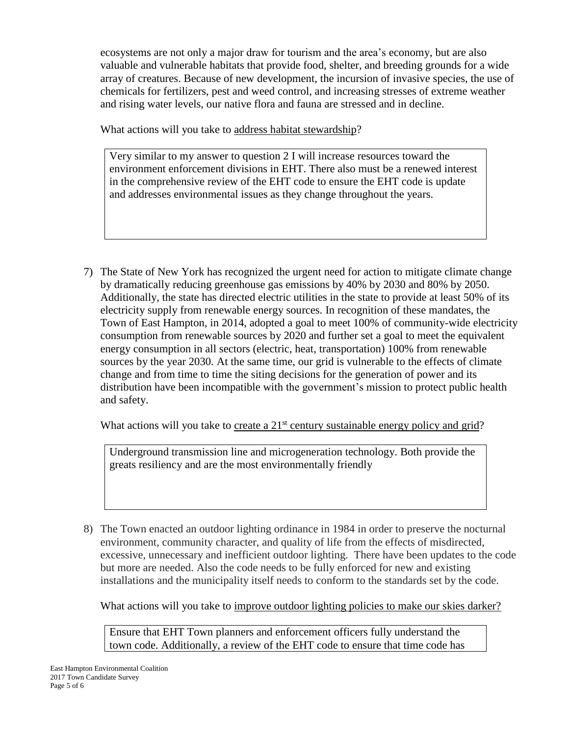ecosystems are not only a major draw for tourism and the area's economy, but are also valuable and vulnerable habitats that provide food, shelter, and breeding grounds for a wide array of creatures. Because of new development, the incursion of invasive species, the use of chemicals for fertilizers, pest and weed control, and increasing stresses of extreme weather and rising water levels, our native flora and fauna are stressed and in decline.

What actions will you take to address habitat stewardship?

Very similar to my answer to question 2 I will increase resources toward the environment enforcement divisions in EHT. There also must be a renewed interest in the comprehensive review of the EHT code to ensure the EHT code is update and addresses environmental issues as they change throughout the years.

7) The State of New York has recognized the urgent need for action to mitigate climate change by dramatically reducing greenhouse gas emissions by 40% by 2030 and 80% by 2050. Additionally, the state has directed electric utilities in the state to provide at least 50% of its electricity supply from renewable energy sources. In recognition of these mandates, the Town of East Hampton, in 2014, adopted a goal to meet 100% of community-wide electricity consumption from renewable sources by 2020 and further set a goal to meet the equivalent energy consumption in all sectors (electric, heat, transportation) 100% from renewable sources by the year 2030. At the same time, our grid is vulnerable to the effects of climate change and from time to time the siting decisions for the generation of power and its distribution have been incompatible with the government's mission to protect public health and safety.

What actions will you take to create a  $21<sup>st</sup>$  century sustainable energy policy and grid?

Underground transmission line and microgeneration technology. Both provide the greats resiliency and are the most environmentally friendly

8) The Town enacted an outdoor lighting ordinance in 1984 in order to preserve the nocturnal environment, community character, and quality of life from the effects of misdirected, excessive, unnecessary and inefficient outdoor lighting. There have been updates to the code but more are needed. Also the code needs to be fully enforced for new and existing installations and the municipality itself needs to conform to the standards set by the code.

What actions will you take to improve outdoor lighting policies to make our skies darker?

Ensure that EHT Town planners and enforcement officers fully understand the town code. Additionally, a review of the EHT code to ensure that time code has